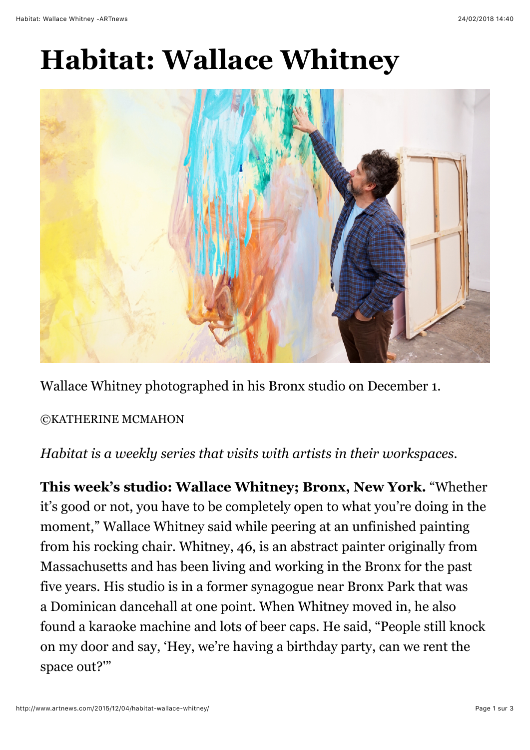## **Habitat: Wallace Whitney**



Wallace Whitney photographed in his Bronx studio on December 1.

## ©KATHERINE MCMAHON

*Habitat is a weekly series that visits with artists in their workspaces.*

**This week's studio: Wallace Whitney; Bronx, New York.** "Whether it's good or not, you have to be completely open to what you're doing in the moment," Wallace Whitney said while peering at an unfinished painting from his rocking chair. Whitney, 46, is an abstract painter originally from Massachusetts and has been living and working in the Bronx for the past five years. His studio is in a former synagogue near Bronx Park that was a Dominican dancehall at one point. When Whitney moved in, he also found a karaoke machine and lots of beer caps. He said, "People still knock on my door and say, 'Hey, we're having a birthday party, can we rent the space out?'"